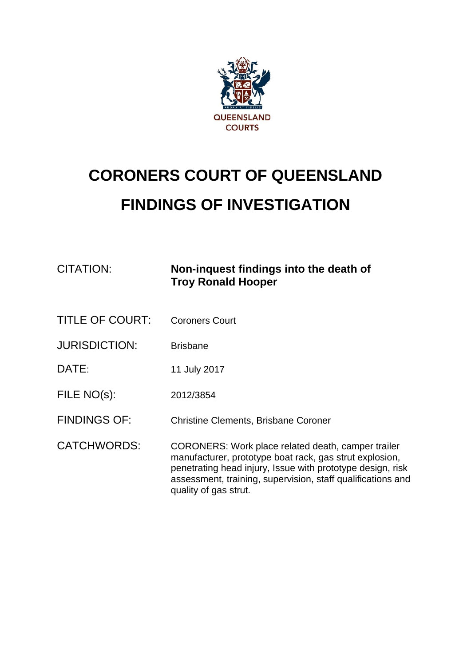

# **CORONERS COURT OF QUEENSLAND FINDINGS OF INVESTIGATION**

| <b>CITATION:</b>     | Non-inquest findings into the death of<br><b>Troy Ronald Hooper</b>                                                                                                                                                                                                 |
|----------------------|---------------------------------------------------------------------------------------------------------------------------------------------------------------------------------------------------------------------------------------------------------------------|
| TITLE OF COURT:      | <b>Coroners Court</b>                                                                                                                                                                                                                                               |
| <b>JURISDICTION:</b> | <b>Brisbane</b>                                                                                                                                                                                                                                                     |
| DATE:                | 11 July 2017                                                                                                                                                                                                                                                        |
| FILE NO(s):          | 2012/3854                                                                                                                                                                                                                                                           |
| <b>FINDINGS OF:</b>  | <b>Christine Clements, Brisbane Coroner</b>                                                                                                                                                                                                                         |
| <b>CATCHWORDS:</b>   | CORONERS: Work place related death, camper trailer<br>manufacturer, prototype boat rack, gas strut explosion,<br>penetrating head injury, Issue with prototype design, risk<br>assessment, training, supervision, staff qualifications and<br>quality of gas strut. |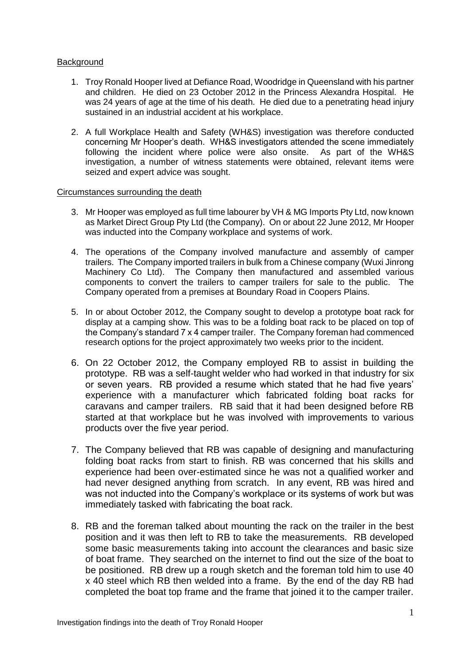### Background

- 1. Troy Ronald Hooper lived at Defiance Road, Woodridge in Queensland with his partner and children. He died on 23 October 2012 in the Princess Alexandra Hospital. He was 24 years of age at the time of his death. He died due to a penetrating head injury sustained in an industrial accident at his workplace.
- 2. A full Workplace Health and Safety (WH&S) investigation was therefore conducted concerning Mr Hooper's death. WH&S investigators attended the scene immediately following the incident where police were also onsite. As part of the WH&S investigation, a number of witness statements were obtained, relevant items were seized and expert advice was sought.

#### Circumstances surrounding the death

- 3. Mr Hooper was employed as full time labourer by VH & MG Imports Pty Ltd, now known as Market Direct Group Pty Ltd (the Company). On or about 22 June 2012, Mr Hooper was inducted into the Company workplace and systems of work.
- 4. The operations of the Company involved manufacture and assembly of camper trailers. The Company imported trailers in bulk from a Chinese company (Wuxi Jinrong Machinery Co Ltd). The Company then manufactured and assembled various components to convert the trailers to camper trailers for sale to the public. The Company operated from a premises at Boundary Road in Coopers Plains.
- 5. In or about October 2012, the Company sought to develop a prototype boat rack for display at a camping show. This was to be a folding boat rack to be placed on top of the Company's standard 7 x 4 camper trailer. The Company foreman had commenced research options for the project approximately two weeks prior to the incident.
- 6. On 22 October 2012, the Company employed RB to assist in building the prototype. RB was a self-taught welder who had worked in that industry for six or seven years. RB provided a resume which stated that he had five years' experience with a manufacturer which fabricated folding boat racks for caravans and camper trailers. RB said that it had been designed before RB started at that workplace but he was involved with improvements to various products over the five year period.
- 7. The Company believed that RB was capable of designing and manufacturing folding boat racks from start to finish. RB was concerned that his skills and experience had been over-estimated since he was not a qualified worker and had never designed anything from scratch. In any event, RB was hired and was not inducted into the Company's workplace or its systems of work but was immediately tasked with fabricating the boat rack.
- 8. RB and the foreman talked about mounting the rack on the trailer in the best position and it was then left to RB to take the measurements. RB developed some basic measurements taking into account the clearances and basic size of boat frame. They searched on the internet to find out the size of the boat to be positioned. RB drew up a rough sketch and the foreman told him to use 40 x 40 steel which RB then welded into a frame. By the end of the day RB had completed the boat top frame and the frame that joined it to the camper trailer.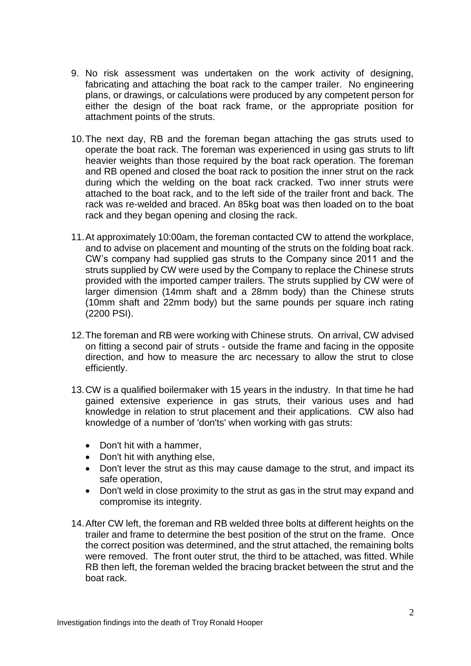- 9. No risk assessment was undertaken on the work activity of designing, fabricating and attaching the boat rack to the camper trailer. No engineering plans, or drawings, or calculations were produced by any competent person for either the design of the boat rack frame, or the appropriate position for attachment points of the struts.
- 10.The next day, RB and the foreman began attaching the gas struts used to operate the boat rack. The foreman was experienced in using gas struts to lift heavier weights than those required by the boat rack operation. The foreman and RB opened and closed the boat rack to position the inner strut on the rack during which the welding on the boat rack cracked. Two inner struts were attached to the boat rack, and to the left side of the trailer front and back. The rack was re-welded and braced. An 85kg boat was then loaded on to the boat rack and they began opening and closing the rack.
- 11.At approximately 10:00am, the foreman contacted CW to attend the workplace, and to advise on placement and mounting of the struts on the folding boat rack. CW's company had supplied gas struts to the Company since 2011 and the struts supplied by CW were used by the Company to replace the Chinese struts provided with the imported camper trailers. The struts supplied by CW were of larger dimension (14mm shaft and a 28mm body) than the Chinese struts (10mm shaft and 22mm body) but the same pounds per square inch rating (2200 PSI).
- 12.The foreman and RB were working with Chinese struts. On arrival, CW advised on fitting a second pair of struts - outside the frame and facing in the opposite direction, and how to measure the arc necessary to allow the strut to close efficiently.
- 13.CW is a qualified boilermaker with 15 years in the industry. In that time he had gained extensive experience in gas struts, their various uses and had knowledge in relation to strut placement and their applications. CW also had knowledge of a number of 'don'ts' when working with gas struts:
	- Don't hit with a hammer.
	- Don't hit with anything else,
	- Don't lever the strut as this may cause damage to the strut, and impact its safe operation,
	- Don't weld in close proximity to the strut as gas in the strut may expand and compromise its integrity.
- 14.After CW left, the foreman and RB welded three bolts at different heights on the trailer and frame to determine the best position of the strut on the frame. Once the correct position was determined, and the strut attached, the remaining bolts were removed. The front outer strut, the third to be attached, was fitted. While RB then left, the foreman welded the bracing bracket between the strut and the boat rack.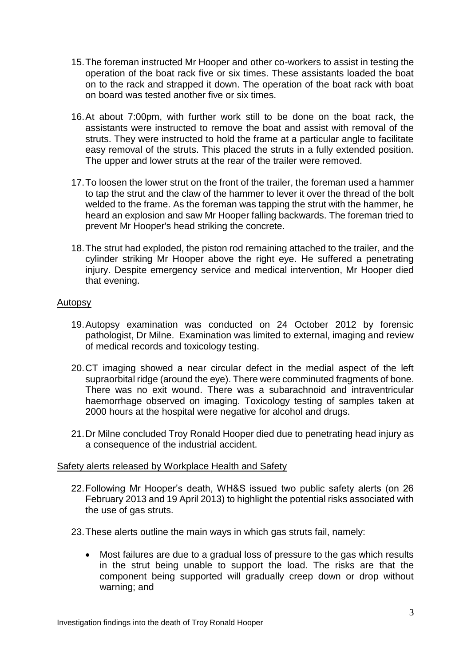- 15.The foreman instructed Mr Hooper and other co-workers to assist in testing the operation of the boat rack five or six times. These assistants loaded the boat on to the rack and strapped it down. The operation of the boat rack with boat on board was tested another five or six times.
- 16.At about 7:00pm, with further work still to be done on the boat rack, the assistants were instructed to remove the boat and assist with removal of the struts. They were instructed to hold the frame at a particular angle to facilitate easy removal of the struts. This placed the struts in a fully extended position. The upper and lower struts at the rear of the trailer were removed.
- 17.To loosen the lower strut on the front of the trailer, the foreman used a hammer to tap the strut and the claw of the hammer to lever it over the thread of the bolt welded to the frame. As the foreman was tapping the strut with the hammer, he heard an explosion and saw Mr Hooper falling backwards. The foreman tried to prevent Mr Hooper's head striking the concrete.
- 18.The strut had exploded, the piston rod remaining attached to the trailer, and the cylinder striking Mr Hooper above the right eye. He suffered a penetrating injury. Despite emergency service and medical intervention, Mr Hooper died that evening.

## Autopsy

- 19.Autopsy examination was conducted on 24 October 2012 by forensic pathologist, Dr Milne. Examination was limited to external, imaging and review of medical records and toxicology testing.
- 20.CT imaging showed a near circular defect in the medial aspect of the left supraorbital ridge (around the eye). There were comminuted fragments of bone. There was no exit wound. There was a subarachnoid and intraventricular haemorrhage observed on imaging. Toxicology testing of samples taken at 2000 hours at the hospital were negative for alcohol and drugs.
- 21.Dr Milne concluded Troy Ronald Hooper died due to penetrating head injury as a consequence of the industrial accident.

### Safety alerts released by Workplace Health and Safety

- 22.Following Mr Hooper's death, WH&S issued two public safety alerts (on 26 February 2013 and 19 April 2013) to highlight the potential risks associated with the use of gas struts.
- 23.These alerts outline the main ways in which gas struts fail, namely:
	- Most failures are due to a gradual loss of pressure to the gas which results in the strut being unable to support the load. The risks are that the component being supported will gradually creep down or drop without warning; and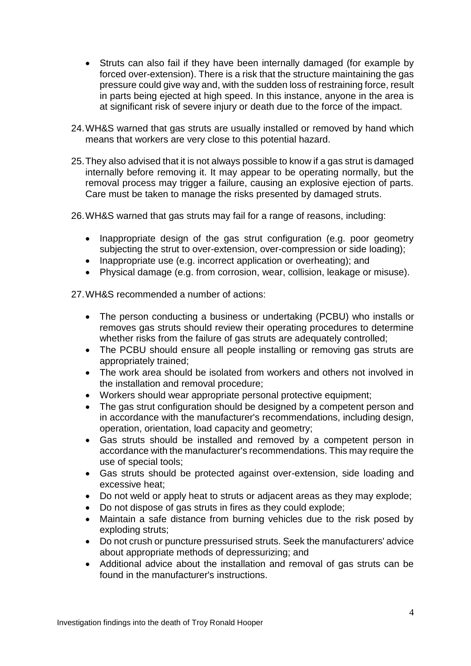- Struts can also fail if they have been internally damaged (for example by forced over-extension). There is a risk that the structure maintaining the gas pressure could give way and, with the sudden loss of restraining force, result in parts being ejected at high speed. In this instance, anyone in the area is at significant risk of severe injury or death due to the force of the impact.
- 24.WH&S warned that gas struts are usually installed or removed by hand which means that workers are very close to this potential hazard.
- 25.They also advised that it is not always possible to know if a gas strut is damaged internally before removing it. It may appear to be operating normally, but the removal process may trigger a failure, causing an explosive ejection of parts. Care must be taken to manage the risks presented by damaged struts.

26.WH&S warned that gas struts may fail for a range of reasons, including:

- Inappropriate design of the gas strut configuration (e.g. poor geometry subjecting the strut to over-extension, over-compression or side loading);
- Inappropriate use (e.g. incorrect application or overheating); and
- Physical damage (e.g. from corrosion, wear, collision, leakage or misuse).

27.WH&S recommended a number of actions:

- The person conducting a business or undertaking (PCBU) who installs or removes gas struts should review their operating procedures to determine whether risks from the failure of gas struts are adequately controlled;
- The PCBU should ensure all people installing or removing gas struts are appropriately trained;
- The work area should be isolated from workers and others not involved in the installation and removal procedure;
- Workers should wear appropriate personal protective equipment;
- The gas strut configuration should be designed by a competent person and in accordance with the manufacturer's recommendations, including design, operation, orientation, load capacity and geometry;
- Gas struts should be installed and removed by a competent person in accordance with the manufacturer's recommendations. This may require the use of special tools;
- Gas struts should be protected against over-extension, side loading and excessive heat;
- Do not weld or apply heat to struts or adjacent areas as they may explode;
- Do not dispose of gas struts in fires as they could explode;
- Maintain a safe distance from burning vehicles due to the risk posed by exploding struts;
- Do not crush or puncture pressurised struts. Seek the manufacturers' advice about appropriate methods of depressurizing; and
- Additional advice about the installation and removal of gas struts can be found in the manufacturer's instructions.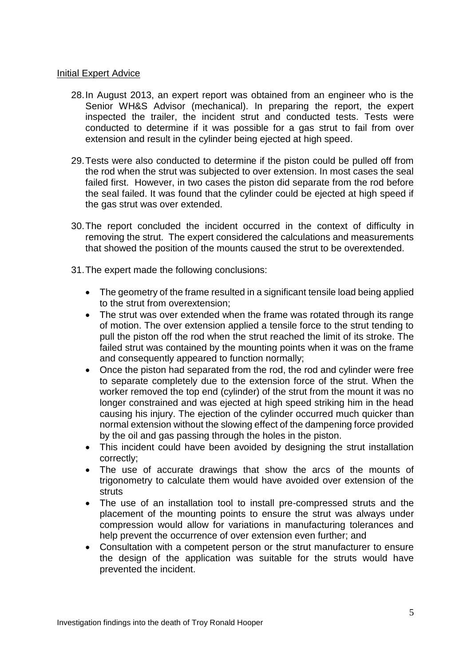### Initial Expert Advice

- 28.In August 2013, an expert report was obtained from an engineer who is the Senior WH&S Advisor (mechanical). In preparing the report, the expert inspected the trailer, the incident strut and conducted tests. Tests were conducted to determine if it was possible for a gas strut to fail from over extension and result in the cylinder being ejected at high speed.
- 29.Tests were also conducted to determine if the piston could be pulled off from the rod when the strut was subjected to over extension. In most cases the seal failed first. However, in two cases the piston did separate from the rod before the seal failed. It was found that the cylinder could be ejected at high speed if the gas strut was over extended.
- 30.The report concluded the incident occurred in the context of difficulty in removing the strut. The expert considered the calculations and measurements that showed the position of the mounts caused the strut to be overextended.
- 31.The expert made the following conclusions:
	- The geometry of the frame resulted in a significant tensile load being applied to the strut from overextension;
	- The strut was over extended when the frame was rotated through its range of motion. The over extension applied a tensile force to the strut tending to pull the piston off the rod when the strut reached the limit of its stroke. The failed strut was contained by the mounting points when it was on the frame and consequently appeared to function normally;
	- Once the piston had separated from the rod, the rod and cylinder were free to separate completely due to the extension force of the strut. When the worker removed the top end (cylinder) of the strut from the mount it was no longer constrained and was ejected at high speed striking him in the head causing his injury. The ejection of the cylinder occurred much quicker than normal extension without the slowing effect of the dampening force provided by the oil and gas passing through the holes in the piston.
	- This incident could have been avoided by designing the strut installation correctly;
	- The use of accurate drawings that show the arcs of the mounts of trigonometry to calculate them would have avoided over extension of the struts
	- The use of an installation tool to install pre-compressed struts and the placement of the mounting points to ensure the strut was always under compression would allow for variations in manufacturing tolerances and help prevent the occurrence of over extension even further; and
	- Consultation with a competent person or the strut manufacturer to ensure the design of the application was suitable for the struts would have prevented the incident.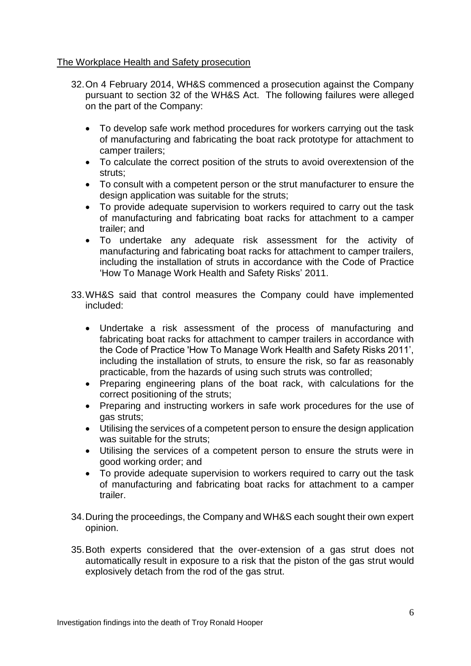## The Workplace Health and Safety prosecution

- 32.On 4 February 2014, WH&S commenced a prosecution against the Company pursuant to section 32 of the WH&S Act. The following failures were alleged on the part of the Company:
	- To develop safe work method procedures for workers carrying out the task of manufacturing and fabricating the boat rack prototype for attachment to camper trailers;
	- To calculate the correct position of the struts to avoid overextension of the struts;
	- To consult with a competent person or the strut manufacturer to ensure the design application was suitable for the struts;
	- To provide adequate supervision to workers required to carry out the task of manufacturing and fabricating boat racks for attachment to a camper trailer; and
	- To undertake any adequate risk assessment for the activity of manufacturing and fabricating boat racks for attachment to camper trailers, including the installation of struts in accordance with the Code of Practice 'How To Manage Work Health and Safety Risks' 2011.
- 33.WH&S said that control measures the Company could have implemented included:
	- Undertake a risk assessment of the process of manufacturing and fabricating boat racks for attachment to camper trailers in accordance with the Code of Practice 'How To Manage Work Health and Safety Risks 2011', including the installation of struts, to ensure the risk, so far as reasonably practicable, from the hazards of using such struts was controlled;
	- Preparing engineering plans of the boat rack, with calculations for the correct positioning of the struts;
	- Preparing and instructing workers in safe work procedures for the use of gas struts;
	- Utilising the services of a competent person to ensure the design application was suitable for the struts;
	- Utilising the services of a competent person to ensure the struts were in good working order; and
	- To provide adequate supervision to workers required to carry out the task of manufacturing and fabricating boat racks for attachment to a camper trailer.
- 34.During the proceedings, the Company and WH&S each sought their own expert opinion.
- 35.Both experts considered that the over-extension of a gas strut does not automatically result in exposure to a risk that the piston of the gas strut would explosively detach from the rod of the gas strut.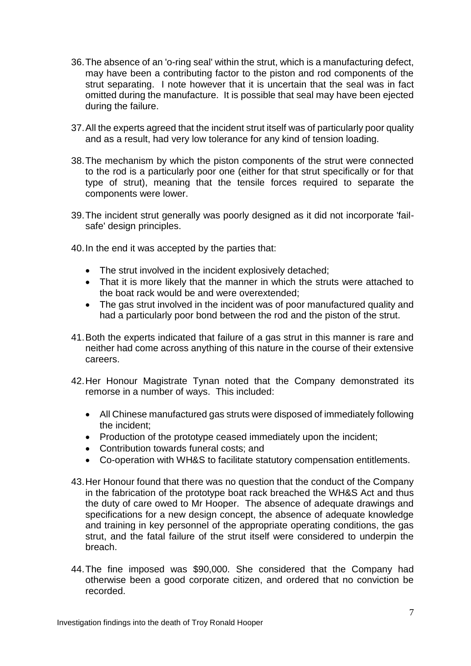- 36.The absence of an 'o-ring seal' within the strut, which is a manufacturing defect, may have been a contributing factor to the piston and rod components of the strut separating. I note however that it is uncertain that the seal was in fact omitted during the manufacture. It is possible that seal may have been ejected during the failure.
- 37.All the experts agreed that the incident strut itself was of particularly poor quality and as a result, had very low tolerance for any kind of tension loading.
- 38.The mechanism by which the piston components of the strut were connected to the rod is a particularly poor one (either for that strut specifically or for that type of strut), meaning that the tensile forces required to separate the components were lower.
- 39.The incident strut generally was poorly designed as it did not incorporate 'failsafe' design principles.
- 40.In the end it was accepted by the parties that:
	- The strut involved in the incident explosively detached;
	- That it is more likely that the manner in which the struts were attached to the boat rack would be and were overextended;
	- The gas strut involved in the incident was of poor manufactured quality and had a particularly poor bond between the rod and the piston of the strut.
- 41.Both the experts indicated that failure of a gas strut in this manner is rare and neither had come across anything of this nature in the course of their extensive careers.
- 42.Her Honour Magistrate Tynan noted that the Company demonstrated its remorse in a number of ways. This included:
	- All Chinese manufactured gas struts were disposed of immediately following the incident;
	- Production of the prototype ceased immediately upon the incident;
	- Contribution towards funeral costs; and
	- Co-operation with WH&S to facilitate statutory compensation entitlements.
- 43.Her Honour found that there was no question that the conduct of the Company in the fabrication of the prototype boat rack breached the WH&S Act and thus the duty of care owed to Mr Hooper. The absence of adequate drawings and specifications for a new design concept, the absence of adequate knowledge and training in key personnel of the appropriate operating conditions, the gas strut, and the fatal failure of the strut itself were considered to underpin the breach.
- 44.The fine imposed was \$90,000. She considered that the Company had otherwise been a good corporate citizen, and ordered that no conviction be recorded.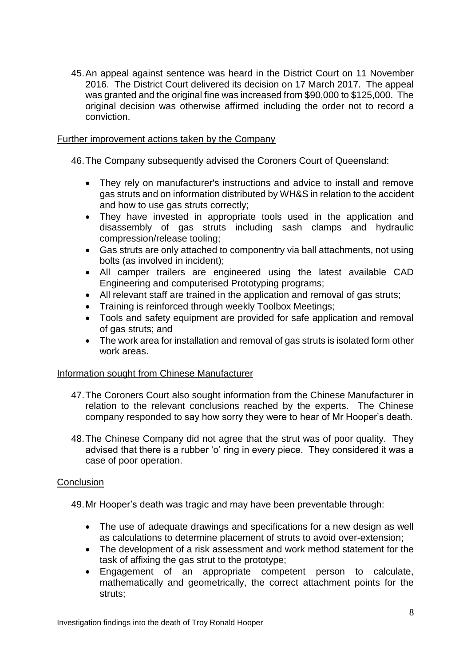45.An appeal against sentence was heard in the District Court on 11 November 2016. The District Court delivered its decision on 17 March 2017. The appeal was granted and the original fine was increased from \$90,000 to \$125,000. The original decision was otherwise affirmed including the order not to record a conviction.

## Further improvement actions taken by the Company

46.The Company subsequently advised the Coroners Court of Queensland:

- They rely on manufacturer's instructions and advice to install and remove gas struts and on information distributed by WH&S in relation to the accident and how to use gas struts correctly;
- They have invested in appropriate tools used in the application and disassembly of gas struts including sash clamps and hydraulic compression/release tooling;
- Gas struts are only attached to componentry via ball attachments, not using bolts (as involved in incident);
- All camper trailers are engineered using the latest available CAD Engineering and computerised Prototyping programs;
- All relevant staff are trained in the application and removal of gas struts;
- Training is reinforced through weekly Toolbox Meetings;
- Tools and safety equipment are provided for safe application and removal of gas struts; and
- The work area for installation and removal of gas struts is isolated form other work areas.

### Information sought from Chinese Manufacturer

- 47.The Coroners Court also sought information from the Chinese Manufacturer in relation to the relevant conclusions reached by the experts. The Chinese company responded to say how sorry they were to hear of Mr Hooper's death.
- 48.The Chinese Company did not agree that the strut was of poor quality. They advised that there is a rubber 'o' ring in every piece. They considered it was a case of poor operation.

## **Conclusion**

49.Mr Hooper's death was tragic and may have been preventable through:

- The use of adequate drawings and specifications for a new design as well as calculations to determine placement of struts to avoid over-extension;
- The development of a risk assessment and work method statement for the task of affixing the gas strut to the prototype;
- Engagement of an appropriate competent person to calculate, mathematically and geometrically, the correct attachment points for the struts;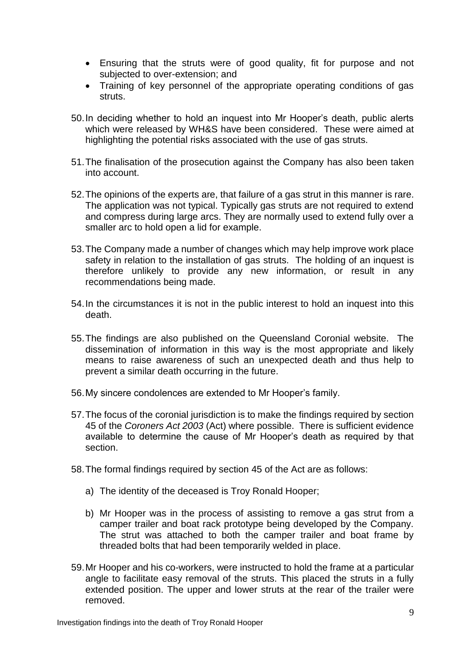- Ensuring that the struts were of good quality, fit for purpose and not subjected to over-extension; and
- Training of key personnel of the appropriate operating conditions of gas struts.
- 50.In deciding whether to hold an inquest into Mr Hooper's death, public alerts which were released by WH&S have been considered. These were aimed at highlighting the potential risks associated with the use of gas struts.
- 51.The finalisation of the prosecution against the Company has also been taken into account.
- 52.The opinions of the experts are, that failure of a gas strut in this manner is rare. The application was not typical. Typically gas struts are not required to extend and compress during large arcs. They are normally used to extend fully over a smaller arc to hold open a lid for example.
- 53.The Company made a number of changes which may help improve work place safety in relation to the installation of gas struts. The holding of an inquest is therefore unlikely to provide any new information, or result in any recommendations being made.
- 54.In the circumstances it is not in the public interest to hold an inquest into this death.
- 55.The findings are also published on the Queensland Coronial website. The dissemination of information in this way is the most appropriate and likely means to raise awareness of such an unexpected death and thus help to prevent a similar death occurring in the future.
- 56.My sincere condolences are extended to Mr Hooper's family.
- 57.The focus of the coronial jurisdiction is to make the findings required by section 45 of the *Coroners Act 2003* (Act) where possible. There is sufficient evidence available to determine the cause of Mr Hooper's death as required by that section.
- 58.The formal findings required by section 45 of the Act are as follows:
	- a) The identity of the deceased is Troy Ronald Hooper;
	- b) Mr Hooper was in the process of assisting to remove a gas strut from a camper trailer and boat rack prototype being developed by the Company. The strut was attached to both the camper trailer and boat frame by threaded bolts that had been temporarily welded in place.
- 59.Mr Hooper and his co-workers, were instructed to hold the frame at a particular angle to facilitate easy removal of the struts. This placed the struts in a fully extended position. The upper and lower struts at the rear of the trailer were removed.